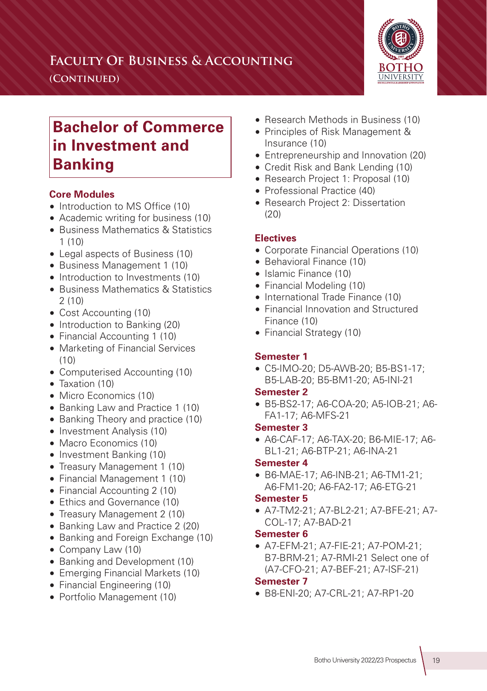## **Faculty Of Business & Accounting**

**(Continued)**



# **Bachelor of Commerce in Investment and Banking**

### **Core Modules**

- Introduction to MS Office (10)
- Academic writing for business (10)
- Business Mathematics & Statistics  $1(10)$
- Legal aspects of Business (10)
- Business Management 1 (10)
- Introduction to Investments (10)
- Business Mathematics & Statistics 2 (10)
- Cost Accounting (10)
- Introduction to Banking (20)
- Financial Accounting 1 (10)
- Marketing of Financial Services (10)
- Computerised Accounting (10)
- Taxation (10)
- Micro Economics (10)
- Banking Law and Practice 1 (10)
- Banking Theory and practice (10)
- Investment Analysis (10)
- Macro Economics (10)
- Investment Banking (10)
- Treasury Management 1 (10)
- Financial Management 1 (10)
- Financial Accounting 2 (10)
- Ethics and Governance (10)
- Treasury Management 2 (10)
- Banking Law and Practice 2 (20)
- Banking and Foreign Exchange (10)
- Company Law (10)
- Banking and Development (10)
- Emerging Financial Markets (10)
- Financial Engineering (10)
- Portfolio Management (10)
- Research Methods in Business (10)
- Principles of Risk Management & Insurance (10)
- Entrepreneurship and Innovation (20)
- Credit Risk and Bank Lending (10)
- Research Project 1: Proposal (10)
- Professional Practice (40)
- Research Project 2: Dissertation  $(20)$

#### **Electives**

- Corporate Financial Operations (10)
- Behavioral Finance (10)
- Islamic Finance (10)
- Financial Modeling (10)
- International Trade Finance (10)
- Financial Innovation and Structured Finance (10)
- Financial Strategy (10)

#### **Semester 1**

• C5-IMO-20; D5-AWB-20; B5-BS1-17; B5-LAB-20; B5-BM1-20; A5-INI-21

#### **Semester 2**

• B5-BS2-17; A6-COA-20; A5-IOB-21; A6- FA1-17; A6-MFS-21

#### **Semester 3**

• A6-CAF-17; A6-TAX-20; B6-MIE-17; A6- BL1-21; A6-BTP-21; A6-INA-21

#### **Semester 4**

• B6-MAE-17; A6-INB-21; A6-TM1-21; A6-FM1-20; A6-FA2-17; A6-ETG-21

#### **Semester 5**

• A7-TM2-21; A7-BL2-21; A7-BFE-21; A7- COL-17; A7-BAD-21

#### **Semester 6**

• A7-EFM-21; A7-FIE-21; A7-POM-21; B7-BRM-21; A7-RMI-21 Select one of (A7-CFO-21; A7-BEF-21; A7-ISF-21)

#### **Semester 7**

• B8-ENI-20; A7-CRL-21; A7-RP1-20